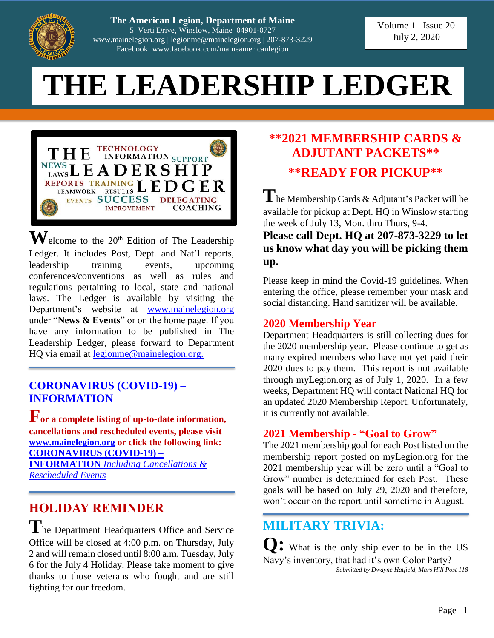

**The American Legion, Department of Maine** 5 Verti Drive, Winslow, Maine 04901-0727 [www.mainelegion.org](http://www.mainelegion.org/) | [legionme@mainelegion.org](mailto:legionme@mainelegion.org) | 207-873-3229 Facebook: www.facebook.com/maineamericanlegion

Volume 1 Issue 20 July 2, 2020

# **THE LEADERSHIP LEDGER**



 $\mathbf{W}$ elcome to the 20<sup>th</sup> Edition of The Leadership Ledger. It includes Post, Dept. and Nat'l reports, leadership training events, upcoming conferences/conventions as well as rules and regulations pertaining to local, state and national laws. The Ledger is available by visiting the Department's website at [www.mainelegion.org](http://www.mainelegion.org/) under "**News & Events**" or on the home page. If you have any information to be published in The Leadership Ledger, please forward to Department HQ via email at <u>legionme@mainelegion.org.</u>

#### **[CORONAVIRUS \(COVID-19\)](http://www.mainelegion.org/pages/news-events/covid-19-info.php) – [INFORMATION](http://www.mainelegion.org/pages/news-events/covid-19-info.php)**

**For a complete listing of up-to-date information, cancellations and rescheduled events, please visit [www.mainelegion.org](http://www.mainelegion.org/) or click the following link: [CORONAVIRUS \(COVID-19\) –](http://www.mainelegion.org/pages/news-events/covid-19-info.php) INFORMATION** *[Including Cancellations &](http://www.mainelegion.org/pages/news-events/covid-19-info.php)  [Rescheduled Events](http://www.mainelegion.org/pages/news-events/covid-19-info.php)*

# **HOLIDAY REMINDER**

The Department Headquarters Office and Service Office will be closed at 4:00 p.m. on Thursday, July 2 and will remain closed until 8:00 a.m. Tuesday, July 6 for the July 4 Holiday. Please take moment to give thanks to those veterans who fought and are still fighting for our freedom.

# **\*\*2021 MEMBERSHIP CARDS & ADJUTANT PACKETS\*\* \*\*READY FOR PICKUP\*\***

**T**he Membership Cards & Adjutant's Packet will be available for pickup at Dept. HQ in Winslow starting the week of July 13, Mon. thru Thurs, 9-4.

**Please call Dept. HQ at 207-873-3229 to let us know what day you will be picking them up.**

Please keep in mind the Covid-19 guidelines. When entering the office, please remember your mask and social distancing. Hand sanitizer will be available.

#### **2020 Membership Year**

Department Headquarters is still collecting dues for the 2020 membership year. Please continue to get as many expired members who have not yet paid their 2020 dues to pay them. This report is not available through myLegion.org as of July 1, 2020. In a few weeks, Department HQ will contact National HQ for an updated 2020 Membership Report. Unfortunately, it is currently not available.

#### **2021 Membership - "Goal to Grow"**

The 2021 membership goal for each Post listed on the membership report posted on myLegion.org for the 2021 membership year will be zero until a "Goal to Grow" number is determined for each Post. These goals will be based on July 29, 2020 and therefore, won't occur on the report until sometime in August.

# **MILITARY TRIVIA:**

What is the only ship ever to be in the US Navy's inventory, that had it's own Color Party? *Submitted by Dwayne Hatfield, Mars Hill Post 118*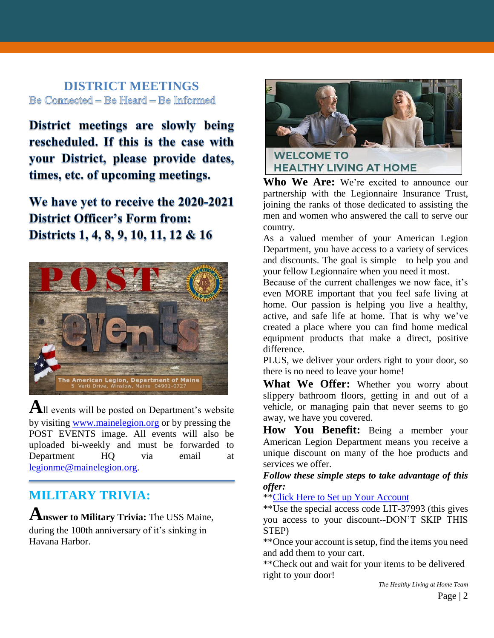#### **DISTRICT MEETINGS** Be Connected - Be Heard - Be Informed

District meetings are slowly being rescheduled. If this is the case with your District, please provide dates, times, etc. of upcoming meetings.

We have yet to receive the 2020-2021 **District Officer's Form from:** Districts 1, 4, 8, 9, 10, 11, 12 & 16



**A**ll events will be posted on Department's website by visiting [www.mainelegion.org](http://www.mainelegion.org/) or by pressing the POST EVENTS image. All events will also be uploaded bi-weekly and must be forwarded to Department HQ via email at [legionme@mainelegion.org.](mailto:legionme@mainelegion.org)

# **MILITARY TRIVIA:**

**Answer to Military Trivia:** The USS Maine,

during the 100th anniversary of it's sinking in Havana Harbor.



**Who We Are:** We're excited to announce our partnership with the Legionnaire Insurance Trust, joining the ranks of those dedicated to assisting the men and women who answered the call to serve our country.

As a valued member of your American Legion Department, you have access to a variety of services and discounts. The goal is simple—to help you and your fellow Legionnaire when you need it most.

Because of the current challenges we now face, it's even MORE important that you feel safe living at home. Our passion is helping you live a healthy, active, and safe life at home. That is why we've created a place where you can find home medical equipment products that make a direct, positive difference.

PLUS, we deliver your orders right to your door, so there is no need to leave your home!

**What We Offer:** Whether you worry about slippery bathroom floors, getting in and out of a vehicle, or managing pain that never seems to go away, we have you covered.

**How You Benefit:** Being a member your American Legion Department means you receive a unique discount on many of the hoe products and services we offer.

#### *Follow these simple steps to take advantage of this offer:*

\*\*Click Here [to Set up Your Account](https://lit.hlathome.com/members/registration.php/?utm_source=Email&utm_medium=Email&utm_campaign=American%20Legion%20Members&utm_term=Round2&utm_content=Message1)

\*\*Use the special access code LIT-37993 (this gives you access to your discount--DON'T SKIP THIS STEP)

\*\*Once your account is setup, find the items you need and add them to your cart.

\*\*Check out and wait for your items to be delivered right to your door!

*The Healthy Living at Home Team*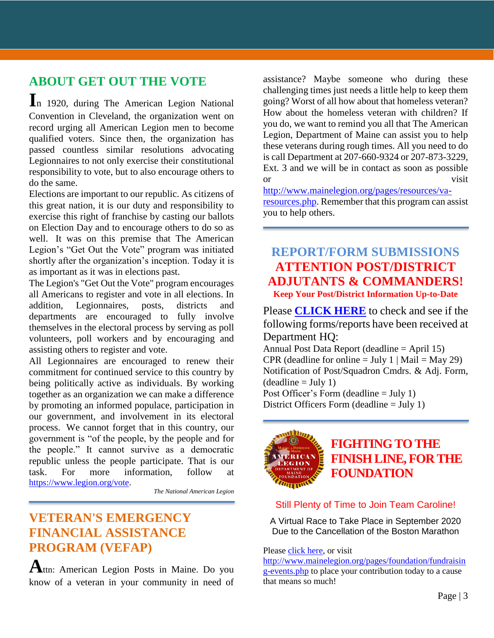# **ABOUT GET OUT THE VOTE**

**I**n 1920, during The American Legion National Convention in Cleveland, the organization went on record urging all American Legion men to become qualified voters. Since then, the organization has passed countless similar resolutions advocating Legionnaires to not only exercise their constitutional responsibility to vote, but to also encourage others to do the same.

Elections are important to our republic. As citizens of this great nation, it is our duty and responsibility to exercise this right of franchise by casting our ballots on Election Day and to encourage others to do so as well. It was on this premise that The American Legion's "Get Out the Vote" program was initiated shortly after the organization's inception. Today it is as important as it was in elections past.

The Legion's "Get Out the Vote" program encourages all Americans to register and vote in all elections. In addition, Legionnaires, posts, districts and departments are encouraged to fully involve themselves in the electoral process by serving as poll volunteers, poll workers and by encouraging and assisting others to register and vote.

All Legionnaires are encouraged to renew their commitment for continued service to this country by being politically active as individuals. By working together as an organization we can make a difference by promoting an informed populace, participation in our government, and involvement in its electoral process. We cannot forget that in this country, our government is "of the people, by the people and for the people." It cannot survive as a democratic republic unless the people participate. That is our task. For more information, follow at [https://www.legion.org/vote.](https://www.legion.org/vote)

*The National American Legion*

## **VETERAN'S EMERGENCY FINANCIAL ASSISTANCE PROGRAM (VEFAP)**

**A**ttn: American Legion Posts in Maine. Do you know of a veteran in your community in need of assistance? Maybe someone who during these challenging times just needs a little help to keep them going? Worst of all how about that homeless veteran? How about the homeless veteran with children? If you do, we want to remind you all that The American Legion, Department of Maine can assist you to help these veterans during rough times. All you need to do is call Department at 207-660-9324 or 207-873-3229, Ext. 3 and we will be in contact as soon as possible or visit

[http://www.mainelegion.org/pages/resources/va](http://www.mainelegion.org/pages/resources/va-resources.php)[resources.php.](http://www.mainelegion.org/pages/resources/va-resources.php) Remember that this program can assist you to help others.

#### **REPORT/FORM SUBMISSIONS ATTENTION POST/DISTRICT ADJUTANTS & COMMANDERS! Keep Your Post/District Information Up-to-Date**

Please **[CLICK HERE](http://www.mainelegion.org/media/LEADERSHIP_LEDGER/EXCEL_POST_FORMS_-_07022020.pdf)** to check and see if the following forms/reports have been received at Department HQ:

Annual Post Data Report (deadline = April 15) CPR (deadline for online  $=$  July 1 | Mail  $=$  May 29) Notification of Post/Squadron Cmdrs. & Adj. Form,  $(deadline = July 1)$ Post Officer's Form (deadline = July 1)

District Officers Form (deadline = July 1)



## **[FIGHTING TO THE](https://www.gofundme.com/f/5hx779-a-cause-i-care-about-needs-help?utm_source=customer&utm_medium=copy_link&utm_campaign=p_cf+share-flow-1)  [FINISH LINE, FOR THE](https://www.gofundme.com/f/5hx779-a-cause-i-care-about-needs-help?utm_source=customer&utm_medium=copy_link&utm_campaign=p_cf+share-flow-1)  [FOUNDATION](https://www.gofundme.com/f/5hx779-a-cause-i-care-about-needs-help?utm_source=customer&utm_medium=copy_link&utm_campaign=p_cf+share-flow-1)**

#### Still Plenty of Time to Join Team Caroline!

A Virtual Race to Take Place in September 2020 Due to the Cancellation of the Boston Marathon

#### Please [click here,](https://www.gofundme.com/f/5hx779-a-cause-i-care-about-needs-help?utm_source=customer&utm_medium=copy_link&utm_campaign=p_cf+share-flow-1) or visit

[http://www.mainelegion.org/pages/foundation/fundraisin](http://www.mainelegion.org/pages/foundation/fundraising-events.php) [g-events.php](http://www.mainelegion.org/pages/foundation/fundraising-events.php) to place your contribution today to a cause that means so much!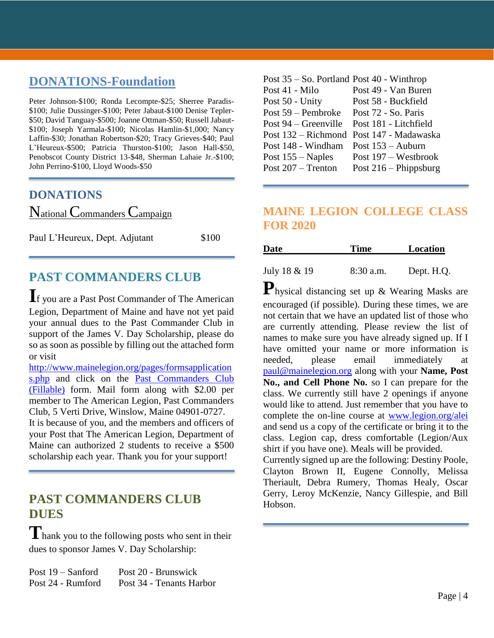## **DONATIONS-Foundation**

Peter Johnson-\$100; Ronda Lecompte-\$25; Sherree Paradis- \$100; Julie Dussinger-\$100; Peter Jabaut-\$100 Denise Tepler- \$50; David Tanguay-\$500; Joanne Ottman-\$50; Russell Jabaut- \$100; Joseph Yarmala-\$100; Nicolas Hamlin-\$1,000; Nancy Laffin-\$30; Jonathan Robertson-\$20; Tracy Grieves-\$40; Paul L'Heureux-\$500; Patricia Thurston-\$100; Jason Hall-\$50, Penobscot County District 13-\$48, Sherman Lahaie Jr.-\$100; John Perrino-\$100, Lloyd Woods-\$50

#### **DONATIONS**

National Commanders Campaign

Paul L'Heureux, Dept. Adjutant \$100

# **PAST COMMANDERS CLUB**

**I**f you are a Past Post Commander of The American Legion, Department of Maine and have not yet paid your annual dues to the Past Commander Club in support of the James V. Day Scholarship, please do so as soon as possible by filling out the attached form or visit

[http://www.mainelegion.org/pages/formsapplication](http://www.mainelegion.org/pages/formsapplications.php) [s.php](http://www.mainelegion.org/pages/formsapplications.php) and click on the [Past Commanders Club](http://www.mainelegion.org/media/LEADERSHIP_LEDGER/PCC_2018_FILLABLE_2.pdf)  [\(Fillable\)](http://www.mainelegion.org/media/LEADERSHIP_LEDGER/PCC_2018_FILLABLE_2.pdf) form. Mail form along with \$2.00 per member to The American Legion, Past Commanders Club, 5 Verti Drive, Winslow, Maine 04901-0727. It is because of you, and the members and officers of

your Post that The American Legion, Department of Maine can authorized 2 students to receive a \$500 scholarship each year. Thank you for your support!

## **PAST COMMANDERS CLUB DUES**

**T**hank you to the following posts who sent in their dues to sponsor James V. Day Scholarship:

| Post $19 -$ Sanford | Post 20 - Brunswick      |
|---------------------|--------------------------|
| Post 24 - Rumford   | Post 34 - Tenants Harbor |

| Post $35 -$ So. Portland Post $40$ - Winthrop |
|-----------------------------------------------|
| Post 49 - Van Buren                           |
| Post 58 - Buckfield                           |
| Post 72 - So. Paris                           |
| Post 181 - Litchfield                         |
| Post 132 – Richmond Post 147 - Madawaska      |
| Post $153 -$ Auburn                           |
| Post 197 – Westbrook                          |
| Post $216$ – Phippsburg                       |
|                                               |

## **MAINE LEGION COLLEGE CLASS FOR 2020**

| <b>Date</b>  | <b>Time</b> | Location   |
|--------------|-------------|------------|
|              |             |            |
| July 18 & 19 | $8:30$ a.m. | Dept. H.Q. |

**P**hysical distancing set up & Wearing Masks are encouraged (if possible). During these times, we are not certain that we have an updated list of those who are currently attending. Please review the list of names to make sure you have already signed up. If I have omitted your name or more information is needed, please email immediately at [paul@mainelegion.org](mailto:paul@mainelegion.org) along with your **Name, Post No., and Cell Phone No.** so I can prepare for the class. We currently still have 2 openings if anyone would like to attend. Just remember that you have to complete the on-line course at [www.legion.org/alei](http://www.legion.org/alei) and send us a copy of the certificate or bring it to the class. Legion cap, dress comfortable (Legion/Aux shirt if you have one). Meals will be provided.

Currently signed up are the following: Destiny Poole, Clayton Brown II, Eugene Connolly, Melissa Theriault, Debra Rumery, Thomas Healy, Oscar Gerry, Leroy McKenzie, Nancy Gillespie, and Bill Hobson.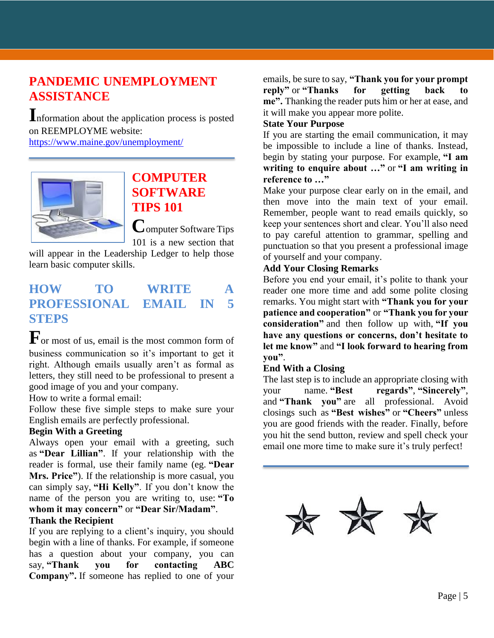## **PANDEMIC UNEMPLOYMENT ASSISTANCE**

**I**nformation about the application process is posted on REEMPLOYME website:

<https://www.maine.gov/unemployment/>



## **COMPUTER SOFTWARE TIPS 101**

**C**omputer Software Tips 101 is a new section that

will appear in the Leadership Ledger to help those learn basic computer skills.

## **HOW TO WRITE A PROFESSIONAL EMAIL IN 5 STEPS**

**F**or most of us, email is the most common form of business communication so it's important to get it right. Although emails usually aren't as formal as letters, they still need to be professional to present a good image of you and your company.

How to write a formal email:

Follow these five simple steps to make sure your English emails are perfectly professional.

#### **Begin With a Greeting**

Always open your email with a greeting, such as **"Dear Lillian"**. If your relationship with the reader is formal, use their family name (eg. **"Dear Mrs. Price"**). If the relationship is more casual, you can simply say, **"Hi Kelly"**. If you don't know the name of the person you are writing to, use: **"To whom it may concern"** or **"Dear Sir/Madam"**.

#### **Thank the Recipient**

If you are replying to a client's inquiry, you should begin with a line of thanks. For example, if someone has a question about your company, you can say, **"Thank you for contacting ABC Company".** If someone has replied to one of your

emails, be sure to say, **"Thank you for your prompt reply"** or **"Thanks for getting back to me".** Thanking the reader puts him or her at ease, and it will make you appear more polite.

#### **State Your Purpose**

If you are starting the email communication, it may be impossible to include a line of thanks. Instead, begin by stating your purpose. For example, **"I am writing to enquire about …"** or **"I am writing in reference to …"**

Make your purpose clear early on in the email, and then move into the main text of your email. Remember, people want to read emails quickly, so keep your sentences short and clear. You'll also need to pay careful attention to grammar, spelling and punctuation so that you present a professional image of yourself and your company.

#### **Add Your Closing Remarks**

Before you end your email, it's polite to thank your reader one more time and add some polite closing remarks. You might start with **"Thank you for your patience and cooperation"** or **"Thank you for your consideration"** and then follow up with, **"If you have any questions or concerns, don't hesitate to let me know"** and **"I look forward to hearing from you"**.

#### **End With a Closing**

The last step is to include an appropriate closing with your name. **"Best regards"**, **"Sincerely"**, and **"Thank you"** are all professional. Avoid closings such as **"Best wishes"** or **"Cheers"** unless you are good friends with the reader. Finally, before you hit the send button, review and spell check your email one more time to make sure it's truly perfect!